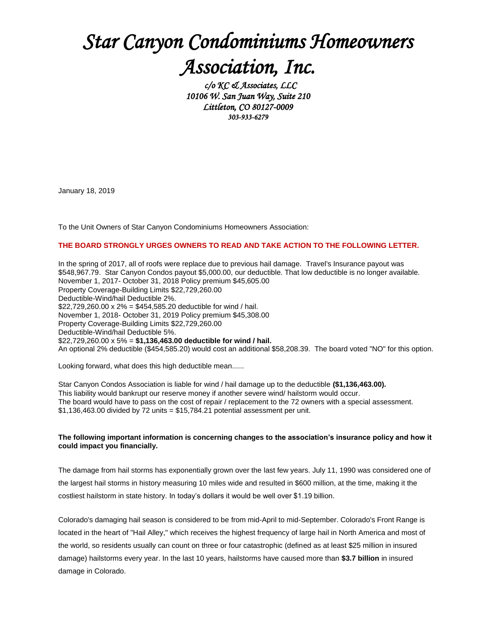## *Star Canyon Condominiums Homeowners Association, Inc.*

 *c/o KC & Associates, LLC 10106 W. San Juan Way, Suite 210 Littleton, CO 80127-0009 303-933-6279*

January 18, 2019

To the Unit Owners of Star Canyon Condominiums Homeowners Association:

## **THE BOARD STRONGLY URGES OWNERS TO READ AND TAKE ACTION TO THE FOLLOWING LETTER.**

In the spring of 2017, all of roofs were replace due to previous hail damage. Travel's Insurance payout was \$548,967.79. Star Canyon Condos payout \$5,000.00, our deductible. That low deductible is no longer available. November 1, 2017- October 31, 2018 Policy premium \$45,605.00 Property Coverage-Building Limits \$22,729,260.00 Deductible-Wind/hail Deductible 2%. \$22,729,260.00 x 2% = \$454,585.20 deductible for wind / hail. November 1, 2018- October 31, 2019 Policy premium \$45,308.00 Property Coverage-Building Limits \$22,729,260.00 Deductible-Wind/hail Deductible 5%. \$22,729,260.00 x 5% = **\$1,136,463.00 deductible for wind / hail.** An optional 2% deductible (\$454,585.20) would cost an additional \$58,208.39. The board voted "NO" for this option.

Looking forward, what does this high deductible mean......

Star Canyon Condos Association is liable for wind / hail damage up to the deductible **(\$1,136,463.00).** This liability would bankrupt our reserve money if another severe wind/ hailstorm would occur. The board would have to pass on the cost of repair / replacement to the 72 owners with a special assessment. \$1,136,463.00 divided by 72 units = \$15,784.21 potential assessment per unit.

## **The following important information is concerning changes to the association's insurance policy and how it could impact you financially.**

The damage from hail storms has exponentially grown over the last few years. July 11, 1990 was considered one of the largest hail storms in history measuring 10 miles wide and resulted in \$600 million, at the time, making it the costliest hailstorm in state history. In today's dollars it would be well over \$1.19 billion.

Colorado's damaging hail season is considered to be from mid-April to mid-September. Colorado's Front Range is located in the heart of "Hail Alley," which receives the highest frequency of large hail in North America and most of the world, so residents usually can count on three or four catastrophic (defined as at least \$25 million in insured damage) hailstorms every year. In the last 10 years, hailstorms have caused more than **\$3.7 billion** in insured damage in Colorado.